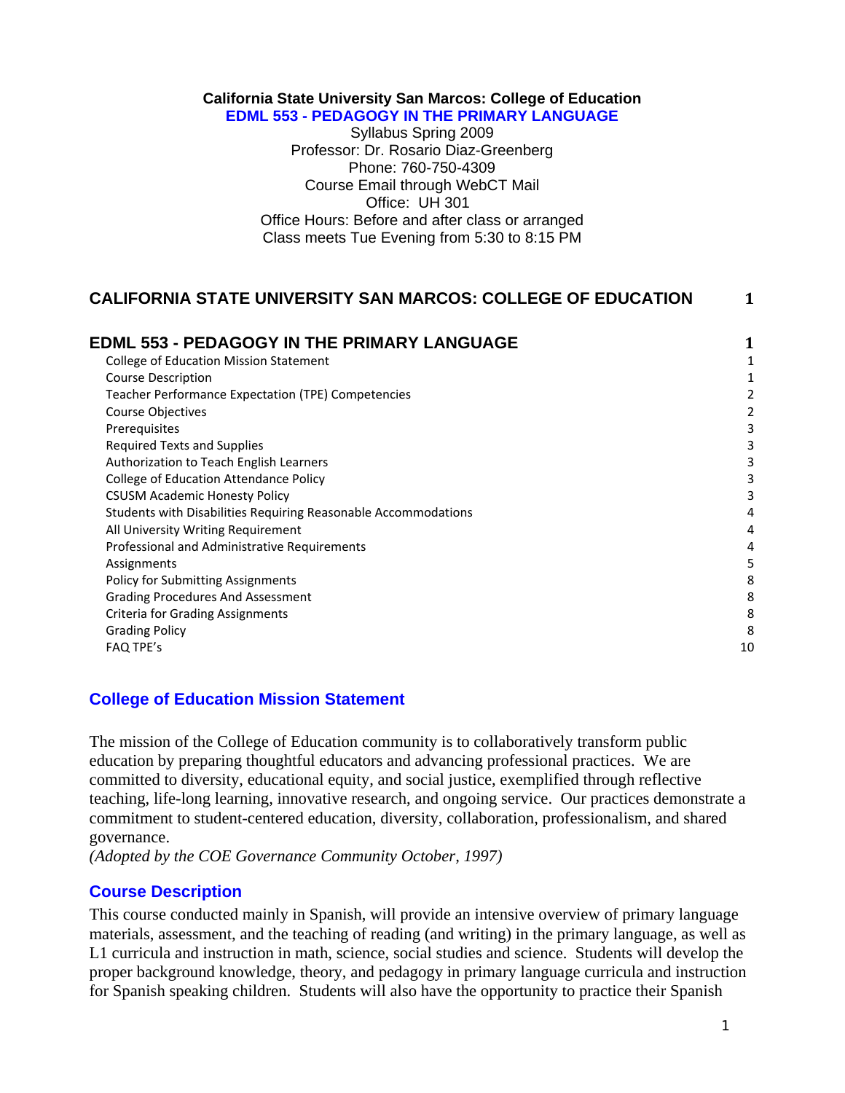#### **California State University San Marcos: College of Education EDML 553 - PEDAGOGY IN THE PRIMARY LANGUAGE**

Syllabus Spring 2009 Professor: Dr. Rosario Diaz-Greenberg Phone: 760-750-4309 Course Email through WebCT Mail Office: UH 301 Office Hours: Before and after class or arranged Class meets Tue Evening from 5:30 to 8:15 PM

## **CALIFORNIA STATE UNIVERSITY SAN MARCOS: COLLEGE OF EDUCATION 1**

| <b>EDML 553 - PEDAGOGY IN THE PRIMARY LANGUAGE</b>             |    |
|----------------------------------------------------------------|----|
| <b>College of Education Mission Statement</b>                  |    |
| <b>Course Description</b>                                      |    |
| Teacher Performance Expectation (TPE) Competencies             | 2  |
| Course Objectives                                              |    |
| Prerequisites                                                  |    |
| <b>Required Texts and Supplies</b>                             |    |
| Authorization to Teach English Learners                        |    |
| College of Education Attendance Policy                         |    |
| <b>CSUSM Academic Honesty Policy</b>                           |    |
| Students with Disabilities Requiring Reasonable Accommodations |    |
| All University Writing Requirement                             | 4  |
| Professional and Administrative Requirements                   | 4  |
| Assignments                                                    | 5  |
| <b>Policy for Submitting Assignments</b>                       | 8  |
| <b>Grading Procedures And Assessment</b>                       | 8  |
| <b>Criteria for Grading Assignments</b>                        | 8  |
| <b>Grading Policy</b>                                          | 8  |
| <b>FAQ TPE's</b>                                               | 10 |

## **College of Education Mission Statement**

The mission of the College of Education community is to collaboratively transform public education by preparing thoughtful educators and advancing professional practices. We are committed to diversity, educational equity, and social justice, exemplified through reflective teaching, life-long learning, innovative research, and ongoing service. Our practices demonstrate a commitment to student-centered education, diversity, collaboration, professionalism, and shared governance.

*(Adopted by the COE Governance Community October, 1997)* 

# **Course Description**

This course conducted mainly in Spanish, will provide an intensive overview of primary language materials, assessment, and the teaching of reading (and writing) in the primary language, as well as L1 curricula and instruction in math, science, social studies and science. Students will develop the proper background knowledge, theory, and pedagogy in primary language curricula and instruction for Spanish speaking children. Students will also have the opportunity to practice their Spanish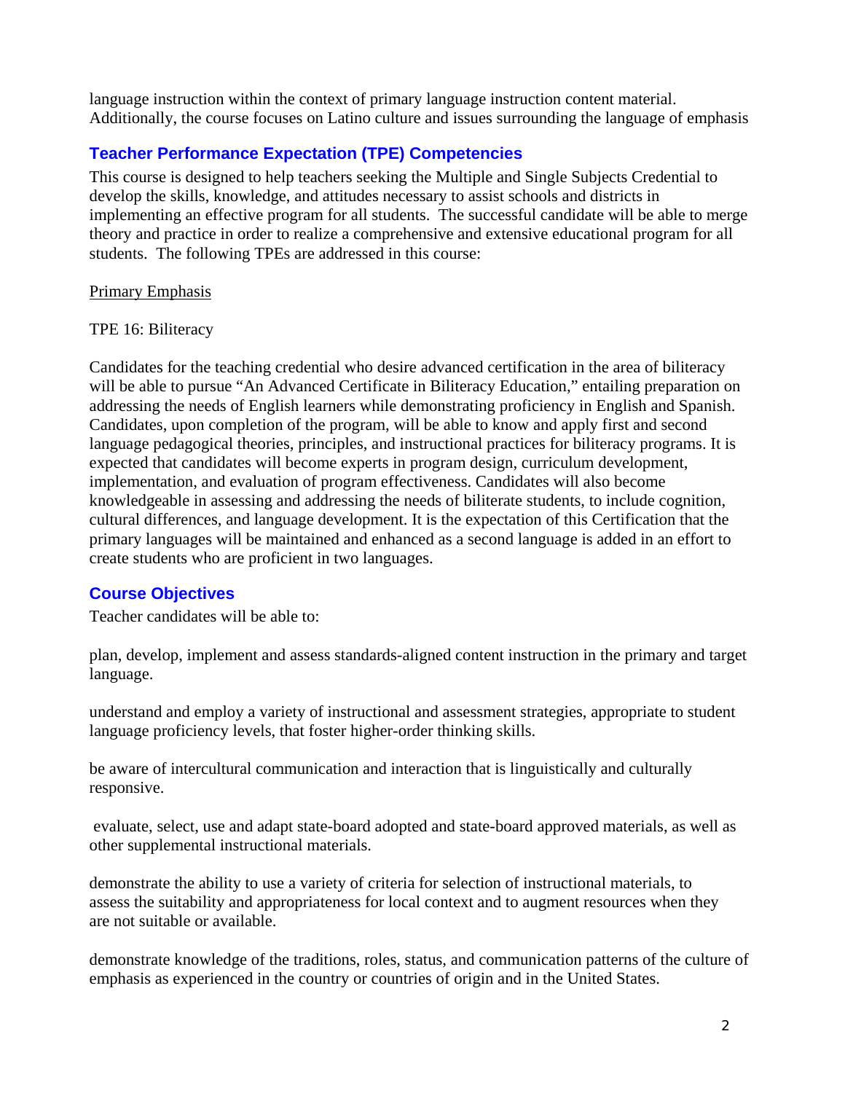language instruction within the context of primary language instruction content material. Additionally, the course focuses on Latino culture and issues surrounding the language of emphasis

# **Teacher Performance Expectation (TPE) Competencies**

This course is designed to help teachers seeking the Multiple and Single Subjects Credential to develop the skills, knowledge, and attitudes necessary to assist schools and districts in implementing an effective program for all students. The successful candidate will be able to merge theory and practice in order to realize a comprehensive and extensive educational program for all students. The following TPEs are addressed in this course:

#### Primary Emphasis

#### TPE 16: Biliteracy

Candidates for the teaching credential who desire advanced certification in the area of biliteracy will be able to pursue "An Advanced Certificate in Biliteracy Education," entailing preparation on addressing the needs of English learners while demonstrating proficiency in English and Spanish. Candidates, upon completion of the program, will be able to know and apply first and second language pedagogical theories, principles, and instructional practices for biliteracy programs. It is expected that candidates will become experts in program design, curriculum development, implementation, and evaluation of program effectiveness. Candidates will also become knowledgeable in assessing and addressing the needs of biliterate students, to include cognition, cultural differences, and language development. It is the expectation of this Certification that the primary languages will be maintained and enhanced as a second language is added in an effort to create students who are proficient in two languages.

## **Course Objectives**

Teacher candidates will be able to:

plan, develop, implement and assess standards-aligned content instruction in the primary and target language.

understand and employ a variety of instructional and assessment strategies, appropriate to student language proficiency levels, that foster higher-order thinking skills.

be aware of intercultural communication and interaction that is linguistically and culturally responsive.

 evaluate, select, use and adapt state-board adopted and state-board approved materials, as well as other supplemental instructional materials.

demonstrate the ability to use a variety of criteria for selection of instructional materials, to assess the suitability and appropriateness for local context and to augment resources when they are not suitable or available.

demonstrate knowledge of the traditions, roles, status, and communication patterns of the culture of emphasis as experienced in the country or countries of origin and in the United States.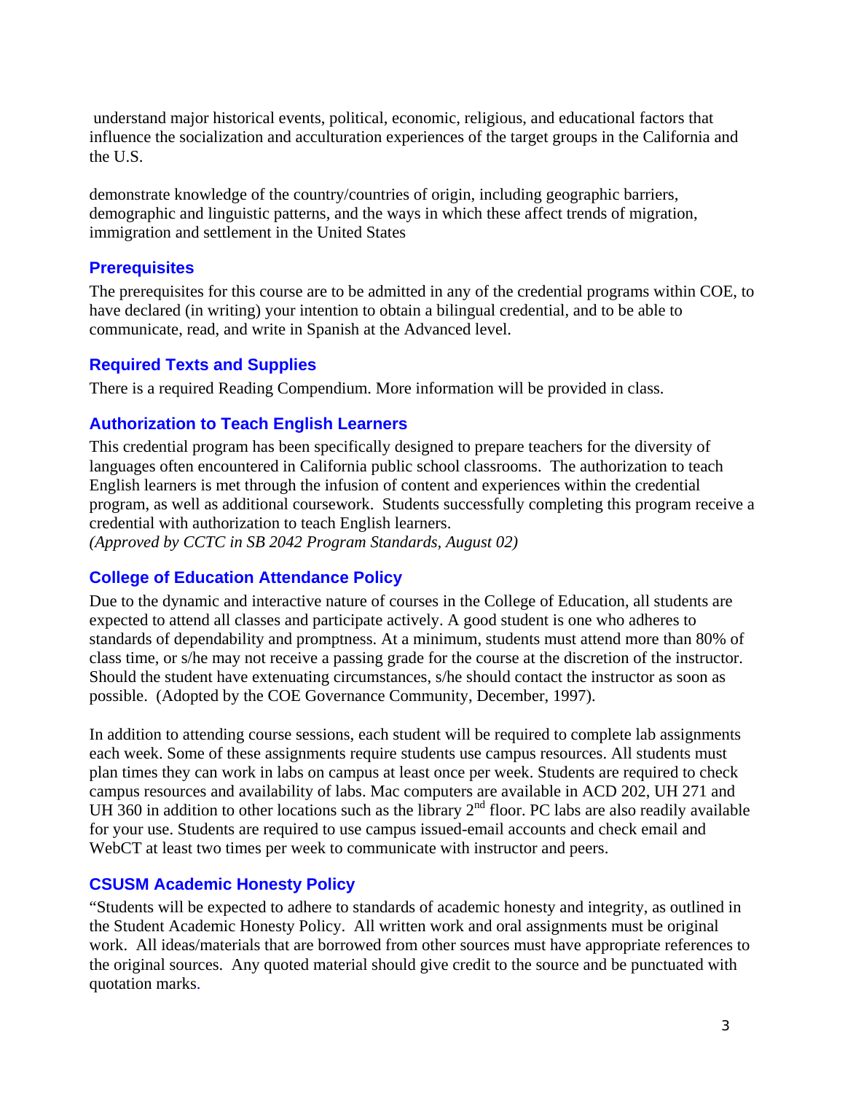understand major historical events, political, economic, religious, and educational factors that influence the socialization and acculturation experiences of the target groups in the California and the U.S.

demonstrate knowledge of the country/countries of origin, including geographic barriers, demographic and linguistic patterns, and the ways in which these affect trends of migration, immigration and settlement in the United States

#### **Prerequisites**

The prerequisites for this course are to be admitted in any of the credential programs within COE, to have declared (in writing) your intention to obtain a bilingual credential, and to be able to communicate, read, and write in Spanish at the Advanced level.

#### **Required Texts and Supplies**

There is a required Reading Compendium. More information will be provided in class.

## **Authorization to Teach English Learners**

This credential program has been specifically designed to prepare teachers for the diversity of languages often encountered in California public school classrooms. The authorization to teach English learners is met through the infusion of content and experiences within the credential program, as well as additional coursework. Students successfully completing this program receive a credential with authorization to teach English learners.

*(Approved by CCTC in SB 2042 Program Standards, August 02)* 

## **College of Education Attendance Policy**

Due to the dynamic and interactive nature of courses in the College of Education, all students are expected to attend all classes and participate actively. A good student is one who adheres to standards of dependability and promptness. At a minimum, students must attend more than 80% of class time, or s/he may not receive a passing grade for the course at the discretion of the instructor. Should the student have extenuating circumstances, s/he should contact the instructor as soon as possible. (Adopted by the COE Governance Community, December, 1997).

In addition to attending course sessions, each student will be required to complete lab assignments each week. Some of these assignments require students use campus resources. All students must plan times they can work in labs on campus at least once per week. Students are required to check campus resources and availability of labs. Mac computers are available in ACD 202, UH 271 and UH 360 in addition to other locations such as the library  $2<sup>nd</sup>$  floor. PC labs are also readily available for your use. Students are required to use campus issued-email accounts and check email and WebCT at least two times per week to communicate with instructor and peers.

## **CSUSM Academic Honesty Policy**

"Students will be expected to adhere to standards of academic honesty and integrity, as outlined in the Student Academic Honesty Policy. All written work and oral assignments must be original work. All ideas/materials that are borrowed from other sources must have appropriate references to the original sources. Any quoted material should give credit to the source and be punctuated with quotation marks.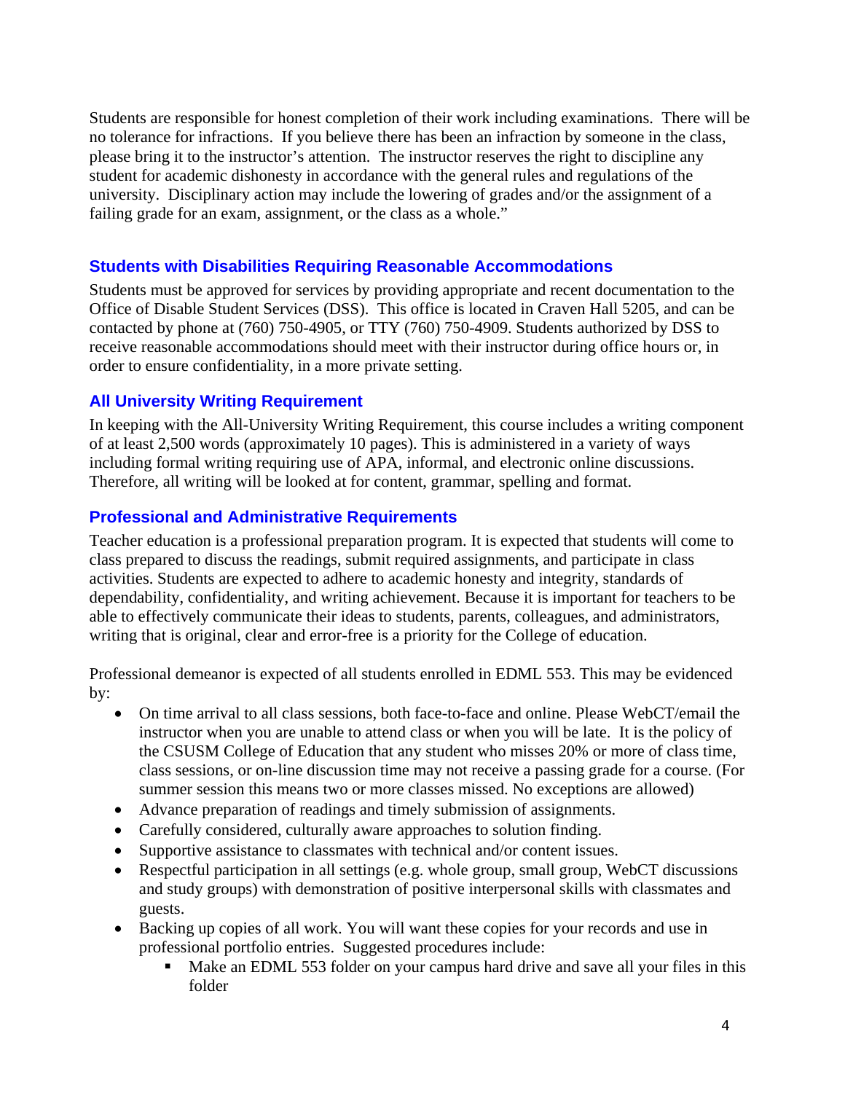Students are responsible for honest completion of their work including examinations. There will be no tolerance for infractions. If you believe there has been an infraction by someone in the class, please bring it to the instructor's attention. The instructor reserves the right to discipline any student for academic dishonesty in accordance with the general rules and regulations of the university. Disciplinary action may include the lowering of grades and/or the assignment of a failing grade for an exam, assignment, or the class as a whole."

## **Students with Disabilities Requiring Reasonable Accommodations**

Students must be approved for services by providing appropriate and recent documentation to the Office of Disable Student Services (DSS). This office is located in Craven Hall 5205, and can be contacted by phone at (760) 750-4905, or TTY (760) 750-4909. Students authorized by DSS to receive reasonable accommodations should meet with their instructor during office hours or, in order to ensure confidentiality, in a more private setting.

## **All University Writing Requirement**

In keeping with the All-University Writing Requirement, this course includes a writing component of at least 2,500 words (approximately 10 pages). This is administered in a variety of ways including formal writing requiring use of APA, informal, and electronic online discussions. Therefore, all writing will be looked at for content, grammar, spelling and format.

## **Professional and Administrative Requirements**

Teacher education is a professional preparation program. It is expected that students will come to class prepared to discuss the readings, submit required assignments, and participate in class activities. Students are expected to adhere to academic honesty and integrity, standards of dependability, confidentiality, and writing achievement. Because it is important for teachers to be able to effectively communicate their ideas to students, parents, colleagues, and administrators, writing that is original, clear and error-free is a priority for the College of education.

Professional demeanor is expected of all students enrolled in EDML 553. This may be evidenced by:

- On time arrival to all class sessions, both face-to-face and online. Please WebCT/email the instructor when you are unable to attend class or when you will be late. It is the policy of the CSUSM College of Education that any student who misses 20% or more of class time, class sessions, or on-line discussion time may not receive a passing grade for a course. (For summer session this means two or more classes missed. No exceptions are allowed)
- Advance preparation of readings and timely submission of assignments.
- Carefully considered, culturally aware approaches to solution finding.
- Supportive assistance to classmates with technical and/or content issues.
- Respectful participation in all settings (e.g. whole group, small group, WebCT discussions and study groups) with demonstration of positive interpersonal skills with classmates and guests.
- Backing up copies of all work. You will want these copies for your records and use in professional portfolio entries. Suggested procedures include:
	- Make an EDML 553 folder on your campus hard drive and save all your files in this folder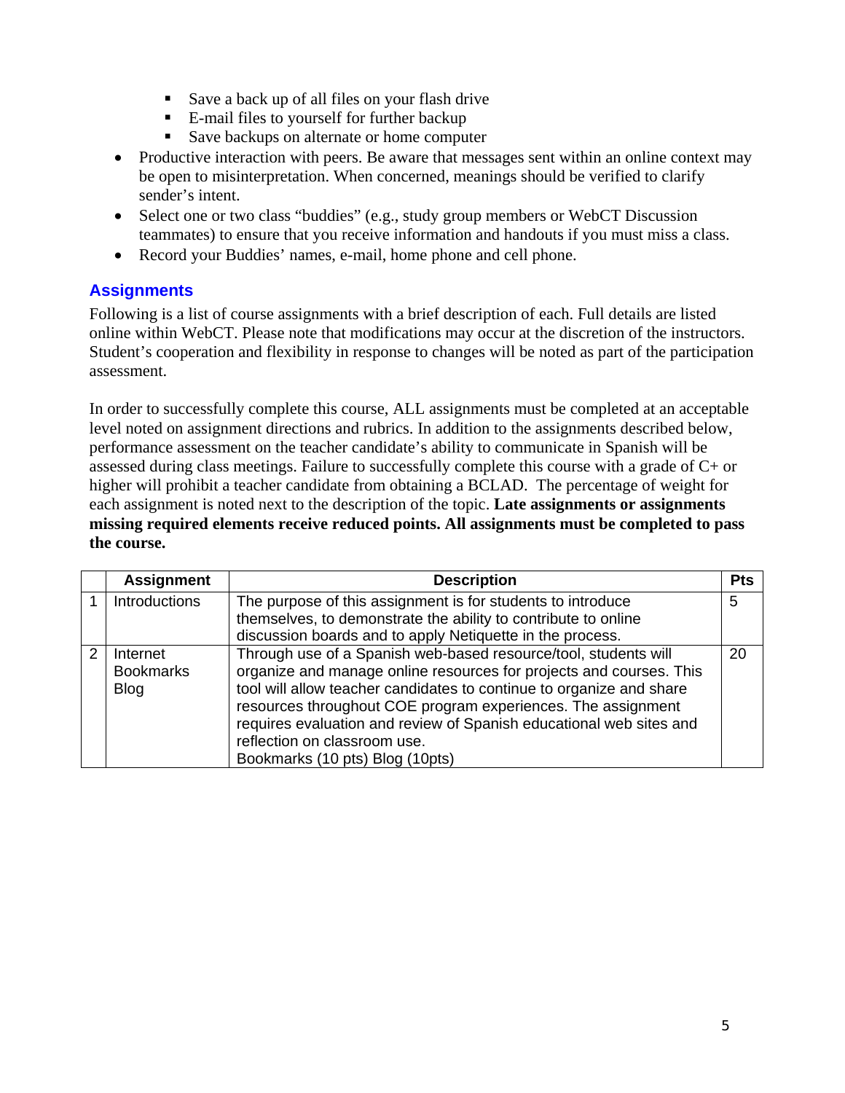- Save a back up of all files on your flash drive
- E-mail files to yourself for further backup
- Save backups on alternate or home computer
- Productive interaction with peers. Be aware that messages sent within an online context may be open to misinterpretation. When concerned, meanings should be verified to clarify sender's intent.
- Select one or two class "buddies" (e.g., study group members or WebCT Discussion teammates) to ensure that you receive information and handouts if you must miss a class.
- Record your Buddies' names, e-mail, home phone and cell phone.

## **Assignments**

Following is a list of course assignments with a brief description of each. Full details are listed online within WebCT. Please note that modifications may occur at the discretion of the instructors. Student's cooperation and flexibility in response to changes will be noted as part of the participation assessment.

In order to successfully complete this course, ALL assignments must be completed at an acceptable level noted on assignment directions and rubrics. In addition to the assignments described below, performance assessment on the teacher candidate's ability to communicate in Spanish will be assessed during class meetings. Failure to successfully complete this course with a grade of C+ or higher will prohibit a teacher candidate from obtaining a BCLAD. The percentage of weight for each assignment is noted next to the description of the topic. **Late assignments or assignments missing required elements receive reduced points. All assignments must be completed to pass the course.**

|   | <b>Assignment</b>    | <b>Description</b>                                                   | <b>Pts</b> |
|---|----------------------|----------------------------------------------------------------------|------------|
|   | <b>Introductions</b> | The purpose of this assignment is for students to introduce          | 5          |
|   |                      | themselves, to demonstrate the ability to contribute to online       |            |
|   |                      | discussion boards and to apply Netiquette in the process.            |            |
| 2 | Internet             | Through use of a Spanish web-based resource/tool, students will      | 20         |
|   | <b>Bookmarks</b>     | organize and manage online resources for projects and courses. This  |            |
|   | <b>Blog</b>          | tool will allow teacher candidates to continue to organize and share |            |
|   |                      | resources throughout COE program experiences. The assignment         |            |
|   |                      | requires evaluation and review of Spanish educational web sites and  |            |
|   |                      | reflection on classroom use.                                         |            |
|   |                      | Bookmarks (10 pts) Blog (10pts)                                      |            |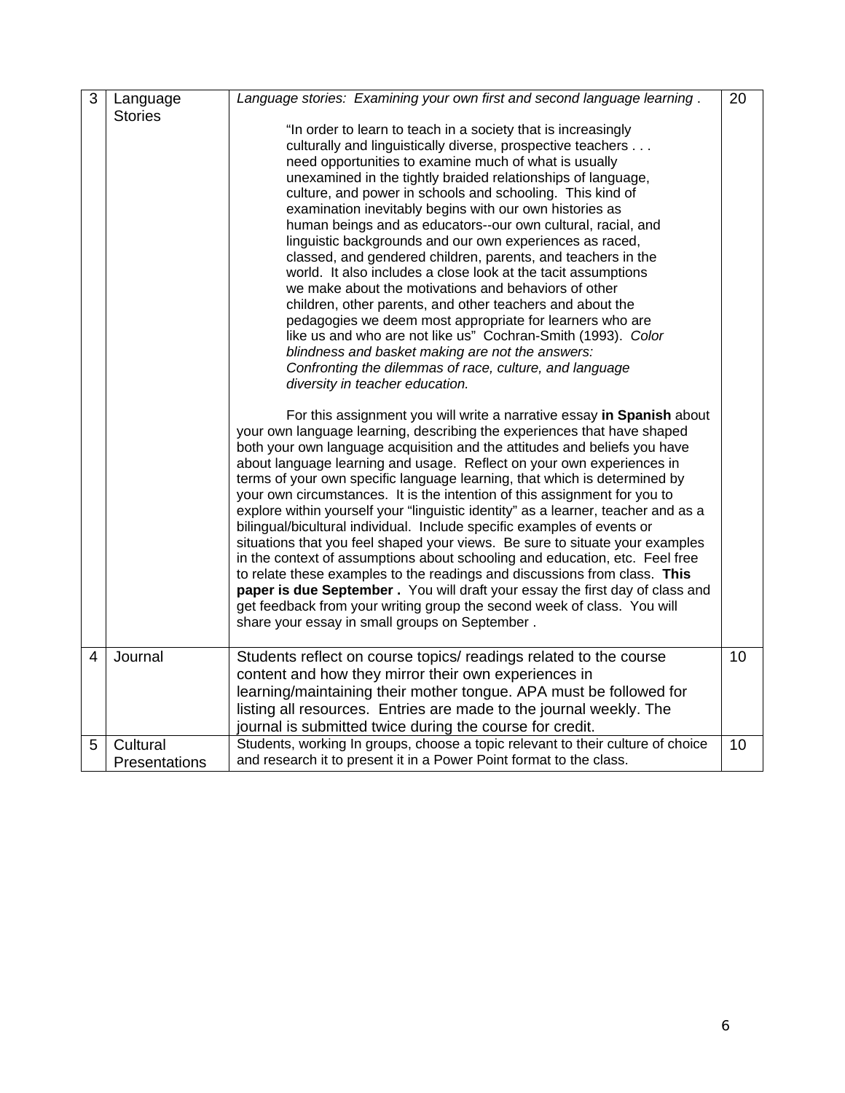| 3 | Language       | Language stories: Examining your own first and second language learning.          | 20 |
|---|----------------|-----------------------------------------------------------------------------------|----|
|   | <b>Stories</b> |                                                                                   |    |
|   |                | "In order to learn to teach in a society that is increasingly                     |    |
|   |                | culturally and linguistically diverse, prospective teachers                       |    |
|   |                | need opportunities to examine much of what is usually                             |    |
|   |                | unexamined in the tightly braided relationships of language,                      |    |
|   |                | culture, and power in schools and schooling. This kind of                         |    |
|   |                | examination inevitably begins with our own histories as                           |    |
|   |                | human beings and as educators--our own cultural, racial, and                      |    |
|   |                | linguistic backgrounds and our own experiences as raced,                          |    |
|   |                | classed, and gendered children, parents, and teachers in the                      |    |
|   |                | world. It also includes a close look at the tacit assumptions                     |    |
|   |                | we make about the motivations and behaviors of other                              |    |
|   |                | children, other parents, and other teachers and about the                         |    |
|   |                | pedagogies we deem most appropriate for learners who are                          |    |
|   |                | like us and who are not like us" Cochran-Smith (1993). Color                      |    |
|   |                | blindness and basket making are not the answers:                                  |    |
|   |                | Confronting the dilemmas of race, culture, and language                           |    |
|   |                | diversity in teacher education.                                                   |    |
|   |                | For this assignment you will write a narrative essay in Spanish about             |    |
|   |                | your own language learning, describing the experiences that have shaped           |    |
|   |                | both your own language acquisition and the attitudes and beliefs you have         |    |
|   |                | about language learning and usage. Reflect on your own experiences in             |    |
|   |                | terms of your own specific language learning, that which is determined by         |    |
|   |                | your own circumstances. It is the intention of this assignment for you to         |    |
|   |                | explore within yourself your "linguistic identity" as a learner, teacher and as a |    |
|   |                | bilingual/bicultural individual. Include specific examples of events or           |    |
|   |                | situations that you feel shaped your views. Be sure to situate your examples      |    |
|   |                | in the context of assumptions about schooling and education, etc. Feel free       |    |
|   |                | to relate these examples to the readings and discussions from class. This         |    |
|   |                | paper is due September. You will draft your essay the first day of class and      |    |
|   |                | get feedback from your writing group the second week of class. You will           |    |
|   |                | share your essay in small groups on September.                                    |    |
|   |                |                                                                                   |    |
| 4 | Journal        | Students reflect on course topics/ readings related to the course                 | 10 |
|   |                | content and how they mirror their own experiences in                              |    |
|   |                | learning/maintaining their mother tongue. APA must be followed for                |    |
|   |                | listing all resources. Entries are made to the journal weekly. The                |    |
|   |                | journal is submitted twice during the course for credit.                          |    |
| 5 | Cultural       | Students, working In groups, choose a topic relevant to their culture of choice   | 10 |
|   | Presentations  | and research it to present it in a Power Point format to the class.               |    |
|   |                |                                                                                   |    |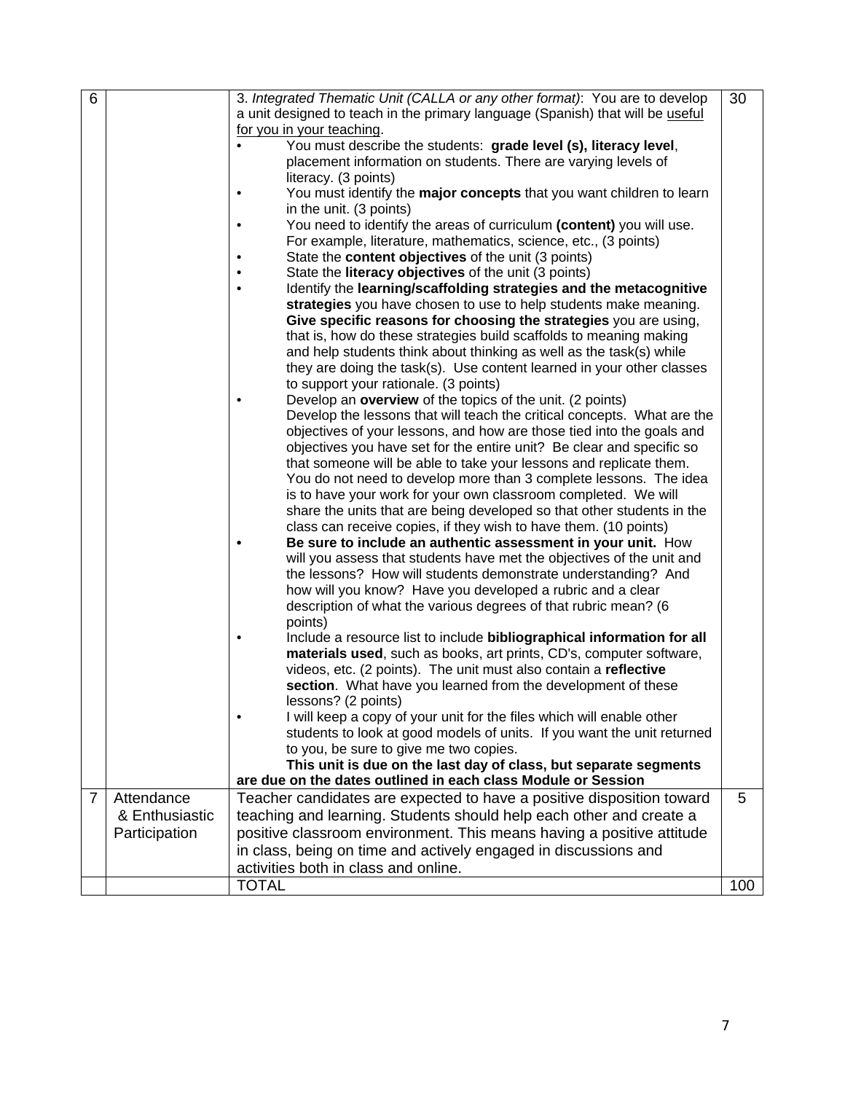| 6              |                | 3. Integrated Thematic Unit (CALLA or any other format): You are to develop                                                                    | 30  |  |
|----------------|----------------|------------------------------------------------------------------------------------------------------------------------------------------------|-----|--|
|                |                | a unit designed to teach in the primary language (Spanish) that will be useful                                                                 |     |  |
|                |                | for you in your teaching.                                                                                                                      |     |  |
|                |                | You must describe the students: grade level (s), literacy level,                                                                               |     |  |
|                |                | placement information on students. There are varying levels of                                                                                 |     |  |
|                |                | literacy. (3 points)                                                                                                                           |     |  |
|                |                | You must identify the major concepts that you want children to learn                                                                           |     |  |
|                |                | in the unit. (3 points)                                                                                                                        |     |  |
|                |                | You need to identify the areas of curriculum (content) you will use.                                                                           |     |  |
|                |                | For example, literature, mathematics, science, etc., (3 points)                                                                                |     |  |
|                |                | State the content objectives of the unit (3 points)                                                                                            |     |  |
|                |                | State the <b>literacy objectives</b> of the unit (3 points)                                                                                    |     |  |
|                |                | Identify the learning/scaffolding strategies and the metacognitive                                                                             |     |  |
|                |                | strategies you have chosen to use to help students make meaning.                                                                               |     |  |
|                |                | Give specific reasons for choosing the strategies you are using,                                                                               |     |  |
|                |                | that is, how do these strategies build scaffolds to meaning making                                                                             |     |  |
|                |                | and help students think about thinking as well as the task(s) while                                                                            |     |  |
|                |                | they are doing the task(s). Use content learned in your other classes                                                                          |     |  |
|                |                | to support your rationale. (3 points)                                                                                                          |     |  |
|                |                | Develop an overview of the topics of the unit. (2 points)                                                                                      |     |  |
|                |                | Develop the lessons that will teach the critical concepts. What are the                                                                        |     |  |
|                |                | objectives of your lessons, and how are those tied into the goals and<br>objectives you have set for the entire unit? Be clear and specific so |     |  |
|                |                | that someone will be able to take your lessons and replicate them.                                                                             |     |  |
|                |                | You do not need to develop more than 3 complete lessons. The idea                                                                              |     |  |
|                |                | is to have your work for your own classroom completed. We will                                                                                 |     |  |
|                |                | share the units that are being developed so that other students in the                                                                         |     |  |
|                |                | class can receive copies, if they wish to have them. (10 points)                                                                               |     |  |
|                |                | Be sure to include an authentic assessment in your unit. How                                                                                   |     |  |
|                |                | will you assess that students have met the objectives of the unit and                                                                          |     |  |
|                |                | the lessons? How will students demonstrate understanding? And                                                                                  |     |  |
|                |                | how will you know? Have you developed a rubric and a clear                                                                                     |     |  |
|                |                | description of what the various degrees of that rubric mean? (6                                                                                |     |  |
|                |                | points)                                                                                                                                        |     |  |
|                |                | Include a resource list to include bibliographical information for all                                                                         |     |  |
|                |                | materials used, such as books, art prints, CD's, computer software,                                                                            |     |  |
|                |                | videos, etc. (2 points). The unit must also contain a reflective                                                                               |     |  |
|                |                | section. What have you learned from the development of these                                                                                   |     |  |
|                |                | lessons? (2 points)                                                                                                                            |     |  |
|                |                | I will keep a copy of your unit for the files which will enable other                                                                          |     |  |
|                |                | students to look at good models of units. If you want the unit returned                                                                        |     |  |
|                |                | to you, be sure to give me two copies.                                                                                                         |     |  |
|                |                | This unit is due on the last day of class, but separate segments                                                                               |     |  |
|                |                | are due on the dates outlined in each class Module or Session                                                                                  |     |  |
| $\overline{7}$ | Attendance     | Teacher candidates are expected to have a positive disposition toward                                                                          | 5   |  |
|                | & Enthusiastic | teaching and learning. Students should help each other and create a                                                                            |     |  |
|                | Participation  | positive classroom environment. This means having a positive attitude                                                                          |     |  |
|                |                | in class, being on time and actively engaged in discussions and                                                                                |     |  |
|                |                | activities both in class and online.                                                                                                           |     |  |
|                |                | <b>TOTAL</b>                                                                                                                                   | 100 |  |
|                |                |                                                                                                                                                |     |  |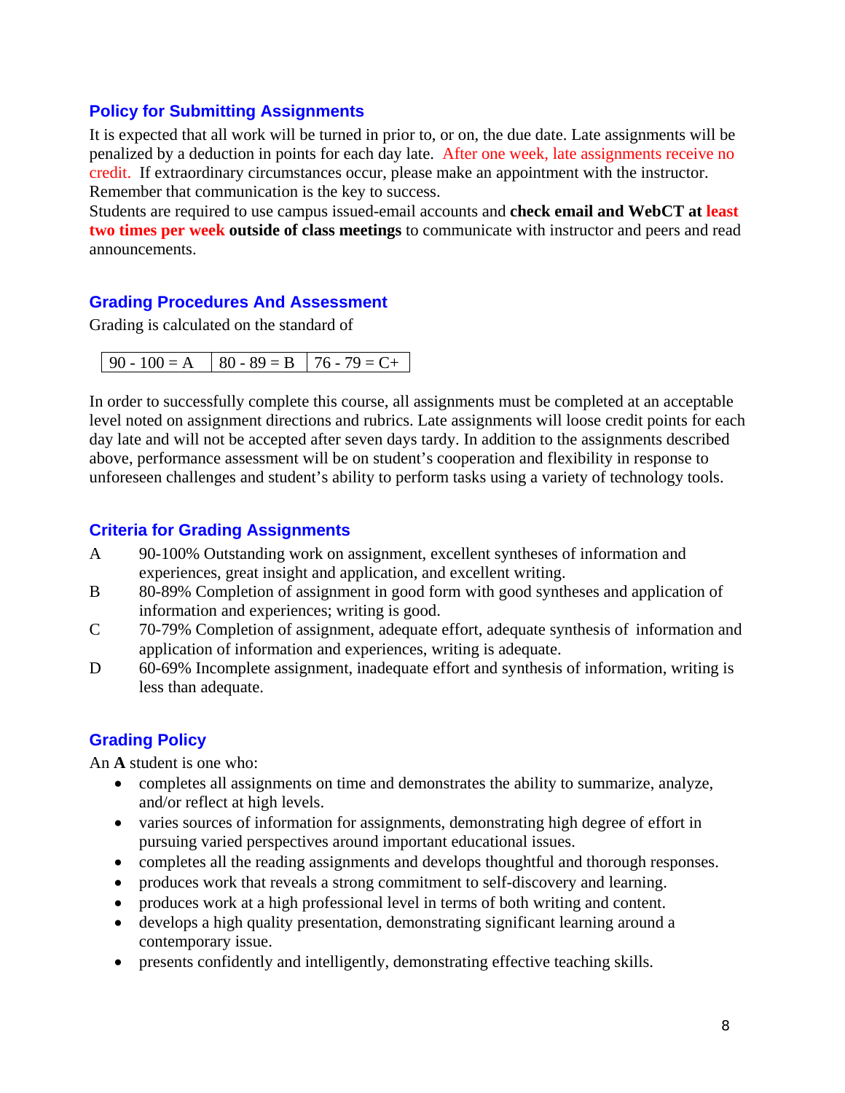#### **Policy for Submitting Assignments**

It is expected that all work will be turned in prior to, or on, the due date. Late assignments will be penalized by a deduction in points for each day late. After one week, late assignments receive no credit. If extraordinary circumstances occur, please make an appointment with the instructor. Remember that communication is the key to success.

Students are required to use campus issued-email accounts and **check email and WebCT at least two times per week outside of class meetings** to communicate with instructor and peers and read announcements.

## **Grading Procedures And Assessment**

Grading is calculated on the standard of

In order to successfully complete this course, all assignments must be completed at an acceptable level noted on assignment directions and rubrics. Late assignments will loose credit points for each day late and will not be accepted after seven days tardy. In addition to the assignments described above, performance assessment will be on student's cooperation and flexibility in response to unforeseen challenges and student's ability to perform tasks using a variety of technology tools.

#### **Criteria for Grading Assignments**

- A 90-100% Outstanding work on assignment, excellent syntheses of information and experiences, great insight and application, and excellent writing.
- B 80-89% Completion of assignment in good form with good syntheses and application of information and experiences; writing is good.
- $\mathsf{C}$ 70-79% Completion of assignment, adequate effort, adequate synthesis of information and application of information and experiences, writing is adequate.
- D 60-69% Incomplete assignment, inadequate effort and synthesis of information, writing is less than adequate.

## **Grading Policy**

An **A** student is one who:

- completes all assignments on time and demonstrates the ability to summarize, analyze, and/or reflect at high levels.
- varies sources of information for assignments, demonstrating high degree of effort in pursuing varied perspectives around important educational issues.
- completes all the reading assignments and develops thoughtful and thorough responses.
- produces work that reveals a strong commitment to self-discovery and learning.
- produces work at a high professional level in terms of both writing and content.
- develops a high quality presentation, demonstrating significant learning around a contemporary issue.
- presents confidently and intelligently, demonstrating effective teaching skills.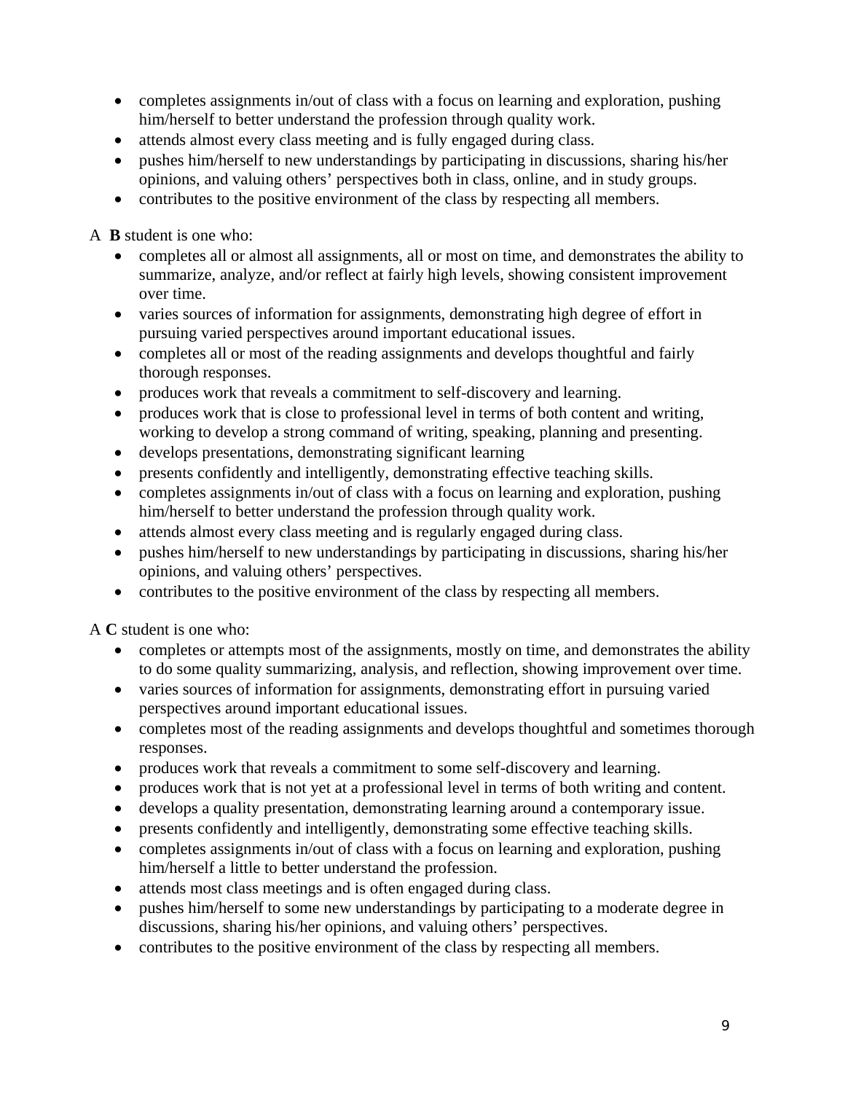- completes assignments in/out of class with a focus on learning and exploration, pushing him/herself to better understand the profession through quality work.
- attends almost every class meeting and is fully engaged during class.
- pushes him/herself to new understandings by participating in discussions, sharing his/her opinions, and valuing others' perspectives both in class, online, and in study groups.
- contributes to the positive environment of the class by respecting all members.

A **B** student is one who:

- completes all or almost all assignments, all or most on time, and demonstrates the ability to summarize, analyze, and/or reflect at fairly high levels, showing consistent improvement over time.
- varies sources of information for assignments, demonstrating high degree of effort in pursuing varied perspectives around important educational issues.
- completes all or most of the reading assignments and develops thoughtful and fairly thorough responses.
- produces work that reveals a commitment to self-discovery and learning.
- produces work that is close to professional level in terms of both content and writing, working to develop a strong command of writing, speaking, planning and presenting.
- develops presentations, demonstrating significant learning
- presents confidently and intelligently, demonstrating effective teaching skills.
- completes assignments in/out of class with a focus on learning and exploration, pushing him/herself to better understand the profession through quality work.
- attends almost every class meeting and is regularly engaged during class.
- pushes him/herself to new understandings by participating in discussions, sharing his/her opinions, and valuing others' perspectives.
- contributes to the positive environment of the class by respecting all members.

A **C** student is one who:

- completes or attempts most of the assignments, mostly on time, and demonstrates the ability to do some quality summarizing, analysis, and reflection, showing improvement over time.
- varies sources of information for assignments, demonstrating effort in pursuing varied perspectives around important educational issues.
- completes most of the reading assignments and develops thoughtful and sometimes thorough responses.
- produces work that reveals a commitment to some self-discovery and learning.
- produces work that is not yet at a professional level in terms of both writing and content.
- develops a quality presentation, demonstrating learning around a contemporary issue.
- presents confidently and intelligently, demonstrating some effective teaching skills.
- completes assignments in/out of class with a focus on learning and exploration, pushing him/herself a little to better understand the profession.
- attends most class meetings and is often engaged during class.
- pushes him/herself to some new understandings by participating to a moderate degree in discussions, sharing his/her opinions, and valuing others' perspectives.
- contributes to the positive environment of the class by respecting all members.